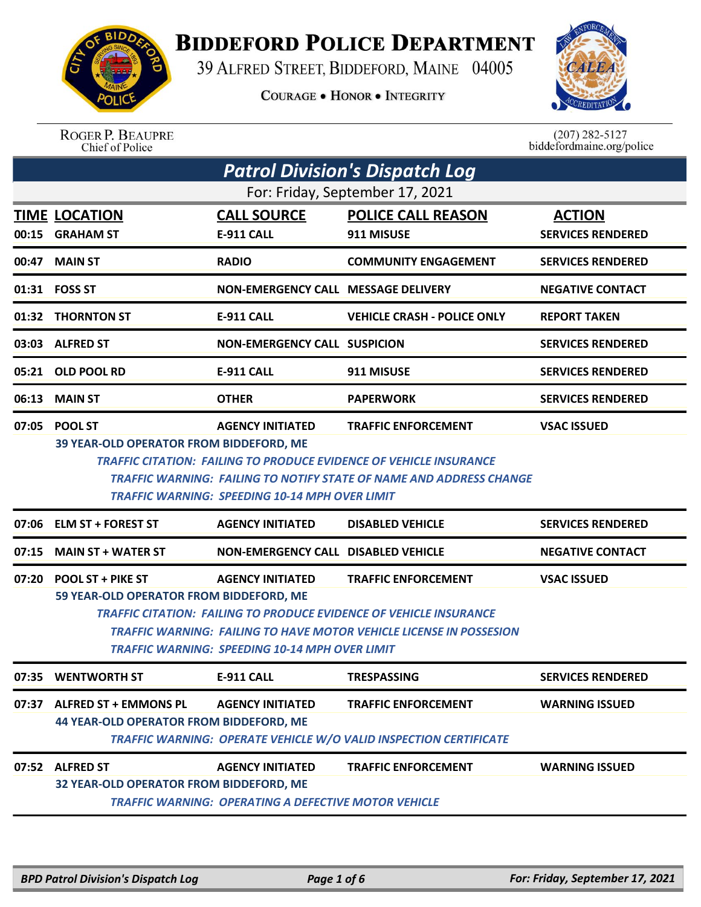

## **BIDDEFORD POLICE DEPARTMENT**

39 ALFRED STREET, BIDDEFORD, MAINE 04005

**COURAGE . HONOR . INTEGRITY** 



ROGER P. BEAUPRE<br>Chief of Police

 $(207)$  282-5127<br>biddefordmaine.org/police

| <b>Patrol Division's Dispatch Log</b>                               |                                                                           |                                                             |                                                                           |                          |  |  |
|---------------------------------------------------------------------|---------------------------------------------------------------------------|-------------------------------------------------------------|---------------------------------------------------------------------------|--------------------------|--|--|
| For: Friday, September 17, 2021                                     |                                                                           |                                                             |                                                                           |                          |  |  |
|                                                                     | <b>TIME LOCATION</b>                                                      | <b>CALL SOURCE</b>                                          | <b>POLICE CALL REASON</b>                                                 | <b>ACTION</b>            |  |  |
| 00:15                                                               | <b>GRAHAM ST</b>                                                          | <b>E-911 CALL</b>                                           | 911 MISUSE                                                                | <b>SERVICES RENDERED</b> |  |  |
| 00:47                                                               | <b>MAIN ST</b>                                                            | <b>RADIO</b>                                                | <b>COMMUNITY ENGAGEMENT</b>                                               | <b>SERVICES RENDERED</b> |  |  |
|                                                                     | 01:31 FOSS ST                                                             | NON-EMERGENCY CALL MESSAGE DELIVERY                         |                                                                           | <b>NEGATIVE CONTACT</b>  |  |  |
|                                                                     | 01:32 THORNTON ST                                                         | <b>E-911 CALL</b>                                           | <b>VEHICLE CRASH - POLICE ONLY</b>                                        | <b>REPORT TAKEN</b>      |  |  |
|                                                                     | 03:03 ALFRED ST                                                           | <b>NON-EMERGENCY CALL SUSPICION</b>                         |                                                                           | <b>SERVICES RENDERED</b> |  |  |
| 05:21                                                               | <b>OLD POOL RD</b>                                                        | <b>E-911 CALL</b>                                           | 911 MISUSE                                                                | <b>SERVICES RENDERED</b> |  |  |
| 06:13                                                               | <b>MAIN ST</b>                                                            | <b>OTHER</b>                                                | <b>PAPERWORK</b>                                                          | <b>SERVICES RENDERED</b> |  |  |
| 07:05                                                               | <b>POOL ST</b><br>39 YEAR-OLD OPERATOR FROM BIDDEFORD, ME                 | <b>AGENCY INITIATED</b>                                     | <b>TRAFFIC ENFORCEMENT</b>                                                | <b>VSAC ISSUED</b>       |  |  |
|                                                                     |                                                                           |                                                             | <b>TRAFFIC CITATION: FAILING TO PRODUCE EVIDENCE OF VEHICLE INSURANCE</b> |                          |  |  |
|                                                                     |                                                                           |                                                             | TRAFFIC WARNING: FAILING TO NOTIFY STATE OF NAME AND ADDRESS CHANGE       |                          |  |  |
|                                                                     |                                                                           | <b>TRAFFIC WARNING: SPEEDING 10-14 MPH OVER LIMIT</b>       |                                                                           |                          |  |  |
|                                                                     | 07:06 ELM ST + FOREST ST                                                  | <b>AGENCY INITIATED</b>                                     | <b>DISABLED VEHICLE</b>                                                   | <b>SERVICES RENDERED</b> |  |  |
| 07:15                                                               | <b>MAIN ST + WATER ST</b>                                                 | <b>NON-EMERGENCY CALL DISABLED VEHICLE</b>                  |                                                                           | <b>NEGATIVE CONTACT</b>  |  |  |
| 07:20                                                               | <b>POOL ST + PIKE ST</b>                                                  | <b>AGENCY INITIATED</b>                                     | <b>TRAFFIC ENFORCEMENT</b>                                                | <b>VSAC ISSUED</b>       |  |  |
|                                                                     |                                                                           | 59 YEAR-OLD OPERATOR FROM BIDDEFORD, ME                     |                                                                           |                          |  |  |
|                                                                     | <b>TRAFFIC CITATION: FAILING TO PRODUCE EVIDENCE OF VEHICLE INSURANCE</b> |                                                             |                                                                           |                          |  |  |
| TRAFFIC WARNING: FAILING TO HAVE MOTOR VEHICLE LICENSE IN POSSESION |                                                                           |                                                             |                                                                           |                          |  |  |
|                                                                     |                                                                           |                                                             |                                                                           |                          |  |  |
|                                                                     |                                                                           | TRAFFIC WARNING: SPEEDING 10-14 MPH OVER LIMIT              |                                                                           |                          |  |  |
|                                                                     | 07:35 WENTWORTH ST                                                        | E-911 CALL                                                  | <b>TRESPASSING</b>                                                        | <b>SERVICES RENDERED</b> |  |  |
| 07:37                                                               | <b>ALFRED ST + EMMONS PL</b>                                              | <b>AGENCY INITIATED</b>                                     | <b>TRAFFIC ENFORCEMENT</b>                                                | <b>WARNING ISSUED</b>    |  |  |
|                                                                     | <b>44 YEAR-OLD OPERATOR FROM BIDDEFORD, ME</b>                            |                                                             |                                                                           |                          |  |  |
|                                                                     |                                                                           |                                                             | <b>TRAFFIC WARNING: OPERATE VEHICLE W/O VALID INSPECTION CERTIFICATE</b>  |                          |  |  |
|                                                                     | 07:52 ALFRED ST                                                           | <b>AGENCY INITIATED</b>                                     | <b>TRAFFIC ENFORCEMENT</b>                                                | <b>WARNING ISSUED</b>    |  |  |
|                                                                     | 32 YEAR-OLD OPERATOR FROM BIDDEFORD, ME                                   | <b>TRAFFIC WARNING: OPERATING A DEFECTIVE MOTOR VEHICLE</b> |                                                                           |                          |  |  |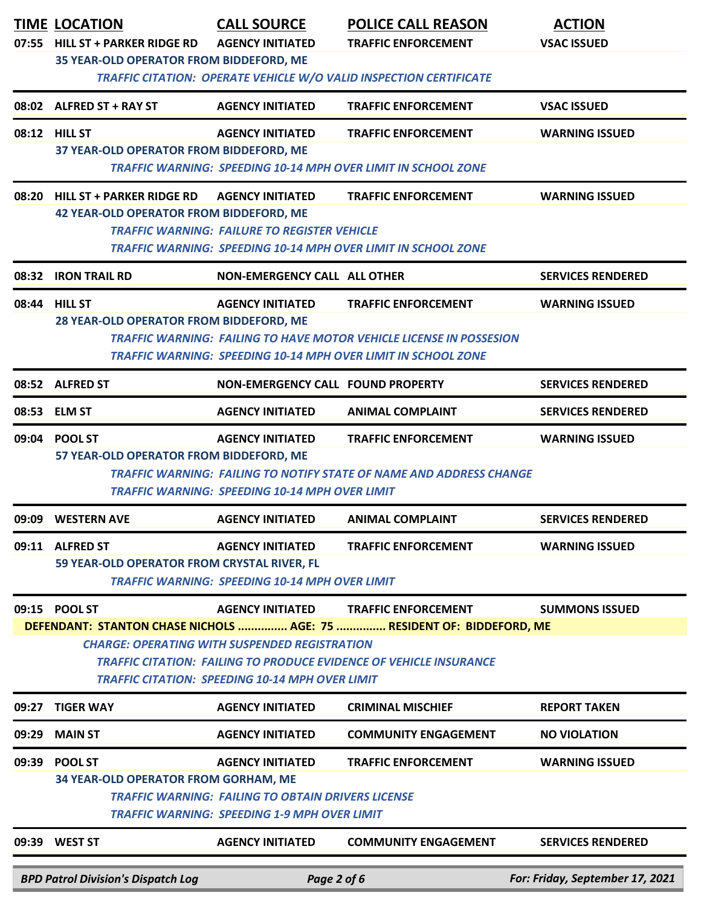| 07:55 | <b>TIME LOCATION</b><br><b>HILL ST + PARKER RIDGE RD</b><br>35 YEAR-OLD OPERATOR FROM BIDDEFORD, ME                                 | <b>CALL SOURCE</b><br><b>AGENCY INITIATED</b>                                                                                               | <b>POLICE CALL REASON</b><br><b>TRAFFIC ENFORCEMENT</b><br><b>TRAFFIC CITATION: OPERATE VEHICLE W/O VALID INSPECTION CERTIFICATE</b>                                             | <b>ACTION</b><br><b>VSAC ISSUED</b> |
|-------|-------------------------------------------------------------------------------------------------------------------------------------|---------------------------------------------------------------------------------------------------------------------------------------------|----------------------------------------------------------------------------------------------------------------------------------------------------------------------------------|-------------------------------------|
|       | 08:02 ALFRED ST + RAY ST                                                                                                            | <b>AGENCY INITIATED</b>                                                                                                                     | <b>TRAFFIC ENFORCEMENT</b>                                                                                                                                                       | <b>VSAC ISSUED</b>                  |
|       | 08:12 HILL ST<br>37 YEAR-OLD OPERATOR FROM BIDDEFORD, ME                                                                            | <b>AGENCY INITIATED</b>                                                                                                                     | <b>TRAFFIC ENFORCEMENT</b><br><b>TRAFFIC WARNING: SPEEDING 10-14 MPH OVER LIMIT IN SCHOOL ZONE</b>                                                                               | <b>WARNING ISSUED</b>               |
|       | 08:20 HILL ST + PARKER RIDGE RD<br><b>42 YEAR-OLD OPERATOR FROM BIDDEFORD, ME</b>                                                   | <b>AGENCY INITIATED</b><br><b>TRAFFIC WARNING: FAILURE TO REGISTER VEHICLE</b>                                                              | <b>TRAFFIC ENFORCEMENT</b><br><b>TRAFFIC WARNING: SPEEDING 10-14 MPH OVER LIMIT IN SCHOOL ZONE</b>                                                                               | <b>WARNING ISSUED</b>               |
| 08:32 | <b>IRON TRAIL RD</b>                                                                                                                | NON-EMERGENCY CALL ALL OTHER                                                                                                                |                                                                                                                                                                                  | <b>SERVICES RENDERED</b>            |
|       | 08:44 HILL ST<br>28 YEAR-OLD OPERATOR FROM BIDDEFORD, ME                                                                            | <b>AGENCY INITIATED</b>                                                                                                                     | <b>TRAFFIC ENFORCEMENT</b><br><b>TRAFFIC WARNING: FAILING TO HAVE MOTOR VEHICLE LICENSE IN POSSESION</b><br><b>TRAFFIC WARNING: SPEEDING 10-14 MPH OVER LIMIT IN SCHOOL ZONE</b> | <b>WARNING ISSUED</b>               |
|       | 08:52 ALFRED ST                                                                                                                     | <b>NON-EMERGENCY CALL FOUND PROPERTY</b>                                                                                                    |                                                                                                                                                                                  | <b>SERVICES RENDERED</b>            |
|       | 08:53 ELM ST                                                                                                                        | <b>AGENCY INITIATED</b>                                                                                                                     | <b>ANIMAL COMPLAINT</b>                                                                                                                                                          | <b>SERVICES RENDERED</b>            |
|       | 09:04 POOL ST<br>57 YEAR-OLD OPERATOR FROM BIDDEFORD, ME                                                                            | <b>AGENCY INITIATED</b><br><b>TRAFFIC WARNING: SPEEDING 10-14 MPH OVER LIMIT</b>                                                            | <b>TRAFFIC ENFORCEMENT</b><br><b>TRAFFIC WARNING: FAILING TO NOTIFY STATE OF NAME AND ADDRESS CHANGE</b>                                                                         | <b>WARNING ISSUED</b>               |
|       | 09:09 WESTERN AVE                                                                                                                   | <b>AGENCY INITIATED</b>                                                                                                                     | <b>ANIMAL COMPLAINT</b>                                                                                                                                                          | <b>SERVICES RENDERED</b>            |
|       | 09:11 ALFRED ST<br>59 YEAR-OLD OPERATOR FROM CRYSTAL RIVER, FL                                                                      | <b>AGENCY INITIATED</b><br><b>TRAFFIC WARNING: SPEEDING 10-14 MPH OVER LIMIT</b>                                                            | <b>TRAFFIC ENFORCEMENT</b>                                                                                                                                                       | <b>WARNING ISSUED</b>               |
|       | 09:15 POOL ST                                                                                                                       | <b>AGENCY INITIATED</b><br><b>CHARGE: OPERATING WITH SUSPENDED REGISTRATION</b>                                                             | <b>TRAFFIC ENFORCEMENT</b><br>DEFENDANT: STANTON CHASE NICHOLS  AGE: 75  RESIDENT OF: BIDDEFORD, ME                                                                              | <b>SUMMONS ISSUED</b>               |
|       | <b>TRAFFIC CITATION: FAILING TO PRODUCE EVIDENCE OF VEHICLE INSURANCE</b><br><b>TRAFFIC CITATION: SPEEDING 10-14 MPH OVER LIMIT</b> |                                                                                                                                             |                                                                                                                                                                                  |                                     |
| 09:27 | <b>TIGER WAY</b>                                                                                                                    | <b>AGENCY INITIATED</b>                                                                                                                     | <b>CRIMINAL MISCHIEF</b>                                                                                                                                                         | <b>REPORT TAKEN</b>                 |
| 09:29 | <b>MAIN ST</b>                                                                                                                      | <b>AGENCY INITIATED</b>                                                                                                                     | <b>COMMUNITY ENGAGEMENT</b>                                                                                                                                                      | <b>NO VIOLATION</b>                 |
|       | 09:39 POOL ST<br>34 YEAR-OLD OPERATOR FROM GORHAM, ME                                                                               | <b>AGENCY INITIATED</b><br><b>TRAFFIC WARNING: FAILING TO OBTAIN DRIVERS LICENSE</b><br><b>TRAFFIC WARNING: SPEEDING 1-9 MPH OVER LIMIT</b> | <b>TRAFFIC ENFORCEMENT</b>                                                                                                                                                       | <b>WARNING ISSUED</b>               |
|       | 09:39 WEST ST                                                                                                                       | <b>AGENCY INITIATED</b>                                                                                                                     | <b>COMMUNITY ENGAGEMENT</b>                                                                                                                                                      | <b>SERVICES RENDERED</b>            |
|       | <b>BPD Patrol Division's Dispatch Log</b>                                                                                           | Page 2 of 6                                                                                                                                 |                                                                                                                                                                                  | For: Friday, September 17, 2021     |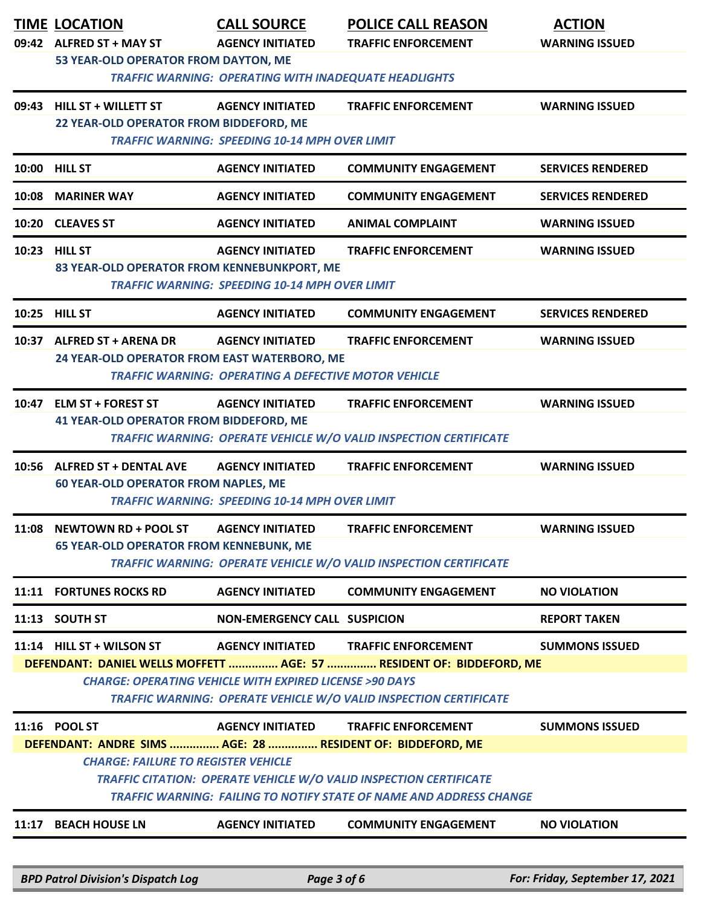|                                            | <b>TIME LOCATION</b><br>09:42 ALFRED ST + MAY ST                            | <b>CALL SOURCE</b><br><b>AGENCY INITIATED</b>                     | <b>POLICE CALL REASON</b><br><b>TRAFFIC ENFORCEMENT</b>                  | <b>ACTION</b><br><b>WARNING ISSUED</b> |  |  |
|--------------------------------------------|-----------------------------------------------------------------------------|-------------------------------------------------------------------|--------------------------------------------------------------------------|----------------------------------------|--|--|
|                                            | 53 YEAR-OLD OPERATOR FROM DAYTON, ME                                        |                                                                   |                                                                          |                                        |  |  |
|                                            | <b>TRAFFIC WARNING: OPERATING WITH INADEQUATE HEADLIGHTS</b>                |                                                                   |                                                                          |                                        |  |  |
|                                            | 09:43 HILL ST + WILLETT ST                                                  | <b>AGENCY INITIATED</b>                                           | <b>TRAFFIC ENFORCEMENT</b>                                               | <b>WARNING ISSUED</b>                  |  |  |
|                                            | 22 YEAR-OLD OPERATOR FROM BIDDEFORD, ME                                     |                                                                   |                                                                          |                                        |  |  |
|                                            |                                                                             | <b>TRAFFIC WARNING: SPEEDING 10-14 MPH OVER LIMIT</b>             |                                                                          |                                        |  |  |
|                                            | 10:00 HILL ST                                                               | <b>AGENCY INITIATED</b>                                           | <b>COMMUNITY ENGAGEMENT</b>                                              | <b>SERVICES RENDERED</b>               |  |  |
| 10:08                                      | <b>MARINER WAY</b>                                                          | <b>AGENCY INITIATED</b>                                           | <b>COMMUNITY ENGAGEMENT</b>                                              | <b>SERVICES RENDERED</b>               |  |  |
|                                            | 10:20 CLEAVES ST                                                            | <b>AGENCY INITIATED</b>                                           | <b>ANIMAL COMPLAINT</b>                                                  | <b>WARNING ISSUED</b>                  |  |  |
| 10:23                                      | <b>HILL ST</b>                                                              | <b>AGENCY INITIATED</b>                                           | <b>TRAFFIC ENFORCEMENT</b>                                               | <b>WARNING ISSUED</b>                  |  |  |
|                                            | 83 YEAR-OLD OPERATOR FROM KENNEBUNKPORT, ME                                 | <b>TRAFFIC WARNING: SPEEDING 10-14 MPH OVER LIMIT</b>             |                                                                          |                                        |  |  |
|                                            |                                                                             |                                                                   |                                                                          |                                        |  |  |
|                                            | 10:25 HILL ST                                                               | <b>AGENCY INITIATED</b>                                           | <b>COMMUNITY ENGAGEMENT</b>                                              | <b>SERVICES RENDERED</b>               |  |  |
|                                            | 10:37 ALFRED ST + ARENA DR<br>24 YEAR-OLD OPERATOR FROM EAST WATERBORO, ME  | <b>AGENCY INITIATED</b>                                           | <b>TRAFFIC ENFORCEMENT</b>                                               | <b>WARNING ISSUED</b>                  |  |  |
|                                            |                                                                             | <b>TRAFFIC WARNING: OPERATING A DEFECTIVE MOTOR VEHICLE</b>       |                                                                          |                                        |  |  |
|                                            | 10:47 ELM ST + FOREST ST                                                    | <b>AGENCY INITIATED</b>                                           | <b>TRAFFIC ENFORCEMENT</b>                                               | <b>WARNING ISSUED</b>                  |  |  |
|                                            | <b>41 YEAR-OLD OPERATOR FROM BIDDEFORD, ME</b>                              |                                                                   |                                                                          |                                        |  |  |
|                                            |                                                                             |                                                                   | <b>TRAFFIC WARNING: OPERATE VEHICLE W/O VALID INSPECTION CERTIFICATE</b> |                                        |  |  |
|                                            | 10:56 ALFRED ST + DENTAL AVE<br><b>60 YEAR-OLD OPERATOR FROM NAPLES, ME</b> | <b>AGENCY INITIATED</b>                                           | <b>TRAFFIC ENFORCEMENT</b>                                               | <b>WARNING ISSUED</b>                  |  |  |
|                                            |                                                                             | <b>TRAFFIC WARNING: SPEEDING 10-14 MPH OVER LIMIT</b>             |                                                                          |                                        |  |  |
|                                            | 11:08 NEWTOWN RD + POOL ST                                                  | <b>AGENCY INITIATED</b>                                           | <b>TRAFFIC ENFORCEMENT</b>                                               | <b>WARNING ISSUED</b>                  |  |  |
|                                            | <b>65 YEAR-OLD OPERATOR FROM KENNEBUNK, ME</b>                              |                                                                   |                                                                          |                                        |  |  |
|                                            |                                                                             |                                                                   | TRAFFIC WARNING: OPERATE VEHICLE W/O VALID INSPECTION CERTIFICATE        |                                        |  |  |
|                                            | 11:11 FORTUNES ROCKS RD                                                     | <b>AGENCY INITIATED</b>                                           | <b>COMMUNITY ENGAGEMENT</b>                                              | <b>NO VIOLATION</b>                    |  |  |
|                                            | 11:13 SOUTH ST                                                              | <b>NON-EMERGENCY CALL SUSPICION</b>                               |                                                                          | <b>REPORT TAKEN</b>                    |  |  |
|                                            | 11:14 HILL ST + WILSON ST                                                   | <b>AGENCY INITIATED</b>                                           | <b>TRAFFIC ENFORCEMENT</b>                                               | <b>SUMMONS ISSUED</b>                  |  |  |
|                                            |                                                                             | <b>CHARGE: OPERATING VEHICLE WITH EXPIRED LICENSE &gt;90 DAYS</b> | DEFENDANT: DANIEL WELLS MOFFETT  AGE: 57  RESIDENT OF: BIDDEFORD, ME     |                                        |  |  |
|                                            |                                                                             |                                                                   | TRAFFIC WARNING: OPERATE VEHICLE W/O VALID INSPECTION CERTIFICATE        |                                        |  |  |
|                                            | 11:16 POOL ST                                                               | <b>AGENCY INITIATED</b>                                           | <b>TRAFFIC ENFORCEMENT</b>                                               | <b>SUMMONS ISSUED</b>                  |  |  |
|                                            | DEFENDANT: ANDRE SIMS  AGE: 28  RESIDENT OF: BIDDEFORD, ME                  |                                                                   |                                                                          |                                        |  |  |
| <b>CHARGE: FAILURE TO REGISTER VEHICLE</b> |                                                                             |                                                                   |                                                                          |                                        |  |  |
|                                            | TRAFFIC CITATION: OPERATE VEHICLE W/O VALID INSPECTION CERTIFICATE          |                                                                   |                                                                          |                                        |  |  |
|                                            | TRAFFIC WARNING: FAILING TO NOTIFY STATE OF NAME AND ADDRESS CHANGE         |                                                                   |                                                                          |                                        |  |  |
| 11:17                                      | <b>BEACH HOUSE LN</b>                                                       | <b>AGENCY INITIATED</b>                                           | <b>COMMUNITY ENGAGEMENT</b>                                              | <b>NO VIOLATION</b>                    |  |  |
|                                            |                                                                             |                                                                   |                                                                          |                                        |  |  |
|                                            | <b>BPD Patrol Division's Dispatch Log</b>                                   | Page 3 of 6                                                       |                                                                          | For: Friday, September 17, 2021        |  |  |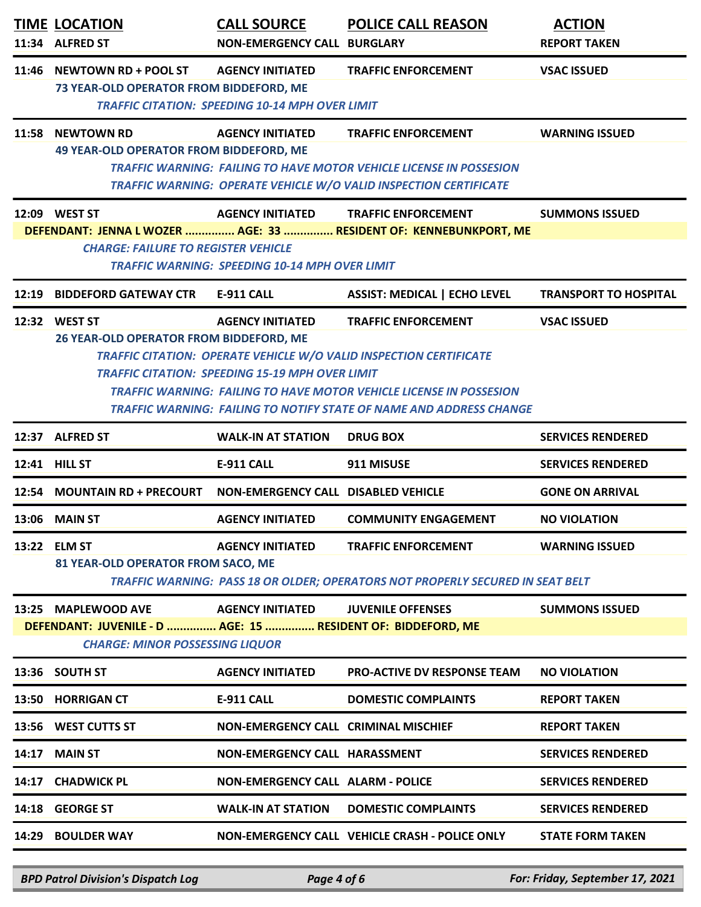|       | <b>TIME LOCATION</b><br>11:34 ALFRED ST                                                                                       | <b>CALL SOURCE</b><br><b>NON-EMERGENCY CALL BURGLARY</b>                          | <b>POLICE CALL REASON</b>                                                                                                                                                                                                                                           | <b>ACTION</b><br><b>REPORT TAKEN</b> |
|-------|-------------------------------------------------------------------------------------------------------------------------------|-----------------------------------------------------------------------------------|---------------------------------------------------------------------------------------------------------------------------------------------------------------------------------------------------------------------------------------------------------------------|--------------------------------------|
|       | 11:46 NEWTOWN RD + POOL ST<br><b>73 YEAR-OLD OPERATOR FROM BIDDEFORD, ME</b>                                                  | <b>AGENCY INITIATED</b><br><b>TRAFFIC CITATION: SPEEDING 10-14 MPH OVER LIMIT</b> | <b>TRAFFIC ENFORCEMENT</b>                                                                                                                                                                                                                                          | <b>VSAC ISSUED</b>                   |
|       | 11:58 NEWTOWN RD<br>49 YEAR-OLD OPERATOR FROM BIDDEFORD, ME                                                                   | <b>AGENCY INITIATED</b>                                                           | <b>TRAFFIC ENFORCEMENT</b><br><b>TRAFFIC WARNING: FAILING TO HAVE MOTOR VEHICLE LICENSE IN POSSESION</b><br><b>TRAFFIC WARNING: OPERATE VEHICLE W/O VALID INSPECTION CERTIFICATE</b>                                                                                | <b>WARNING ISSUED</b>                |
|       | 12:09 WEST ST                                                                                                                 | <b>AGENCY INITIATED</b>                                                           | <b>TRAFFIC ENFORCEMENT</b>                                                                                                                                                                                                                                          | <b>SUMMONS ISSUED</b>                |
|       | <b>CHARGE: FAILURE TO REGISTER VEHICLE</b>                                                                                    | <b>TRAFFIC WARNING: SPEEDING 10-14 MPH OVER LIMIT</b>                             | DEFENDANT: JENNA L WOZER  AGE: 33  RESIDENT OF: KENNEBUNKPORT, ME                                                                                                                                                                                                   |                                      |
| 12:19 | <b>BIDDEFORD GATEWAY CTR</b>                                                                                                  | <b>E-911 CALL</b>                                                                 | <b>ASSIST: MEDICAL   ECHO LEVEL</b>                                                                                                                                                                                                                                 | <b>TRANSPORT TO HOSPITAL</b>         |
|       | 12:32 WEST ST<br>26 YEAR-OLD OPERATOR FROM BIDDEFORD, ME                                                                      | <b>AGENCY INITIATED</b><br><b>TRAFFIC CITATION: SPEEDING 15-19 MPH OVER LIMIT</b> | <b>TRAFFIC ENFORCEMENT</b><br><b>TRAFFIC CITATION: OPERATE VEHICLE W/O VALID INSPECTION CERTIFICATE</b><br><b>TRAFFIC WARNING: FAILING TO HAVE MOTOR VEHICLE LICENSE IN POSSESION</b><br><b>TRAFFIC WARNING: FAILING TO NOTIFY STATE OF NAME AND ADDRESS CHANGE</b> | <b>VSAC ISSUED</b>                   |
|       | 12:37 ALFRED ST                                                                                                               | <b>WALK-IN AT STATION</b>                                                         | <b>DRUG BOX</b>                                                                                                                                                                                                                                                     | <b>SERVICES RENDERED</b>             |
|       | 12:41 HILL ST                                                                                                                 | <b>E-911 CALL</b>                                                                 | 911 MISUSE                                                                                                                                                                                                                                                          | <b>SERVICES RENDERED</b>             |
|       | 12:54 MOUNTAIN RD + PRECOURT                                                                                                  | NON-EMERGENCY CALL DISABLED VEHICLE                                               |                                                                                                                                                                                                                                                                     | <b>GONE ON ARRIVAL</b>               |
| 13:06 | <b>MAIN ST</b>                                                                                                                | <b>AGENCY INITIATED</b>                                                           | <b>COMMUNITY ENGAGEMENT</b>                                                                                                                                                                                                                                         | <b>NO VIOLATION</b>                  |
|       | 13:22 ELM ST<br>81 YEAR-OLD OPERATOR FROM SACO, ME                                                                            | <b>AGENCY INITIATED</b>                                                           | <b>TRAFFIC ENFORCEMENT</b><br>TRAFFIC WARNING: PASS 18 OR OLDER; OPERATORS NOT PROPERLY SECURED IN SEAT BELT                                                                                                                                                        | <b>WARNING ISSUED</b>                |
|       | 13:25 MAPLEWOOD AVE<br>DEFENDANT: JUVENILE - D  AGE: 15  RESIDENT OF: BIDDEFORD, ME<br><b>CHARGE: MINOR POSSESSING LIQUOR</b> | <b>AGENCY INITIATED</b>                                                           | <b>JUVENILE OFFENSES</b>                                                                                                                                                                                                                                            | <b>SUMMONS ISSUED</b>                |
|       | 13:36 SOUTH ST                                                                                                                | <b>AGENCY INITIATED</b>                                                           | <b>PRO-ACTIVE DV RESPONSE TEAM</b>                                                                                                                                                                                                                                  | <b>NO VIOLATION</b>                  |
|       | 13:50 HORRIGAN CT                                                                                                             | <b>E-911 CALL</b>                                                                 | <b>DOMESTIC COMPLAINTS</b>                                                                                                                                                                                                                                          | <b>REPORT TAKEN</b>                  |
|       | 13:56 WEST CUTTS ST                                                                                                           | <b>NON-EMERGENCY CALL CRIMINAL MISCHIEF</b>                                       |                                                                                                                                                                                                                                                                     | <b>REPORT TAKEN</b>                  |
| 14:17 | <b>MAIN ST</b>                                                                                                                | NON-EMERGENCY CALL HARASSMENT                                                     |                                                                                                                                                                                                                                                                     | <b>SERVICES RENDERED</b>             |
| 14:17 | <b>CHADWICK PL</b>                                                                                                            | <b>NON-EMERGENCY CALL ALARM - POLICE</b>                                          |                                                                                                                                                                                                                                                                     | <b>SERVICES RENDERED</b>             |
|       | 14:18 GEORGE ST                                                                                                               | <b>WALK-IN AT STATION</b>                                                         | <b>DOMESTIC COMPLAINTS</b>                                                                                                                                                                                                                                          | <b>SERVICES RENDERED</b>             |
|       | 14:29 BOULDER WAY                                                                                                             |                                                                                   | NON-EMERGENCY CALL VEHICLE CRASH - POLICE ONLY                                                                                                                                                                                                                      | <b>STATE FORM TAKEN</b>              |

*BPD Patrol Division's Dispatch Log Page 4 of 6 For: Friday, September 17, 2021*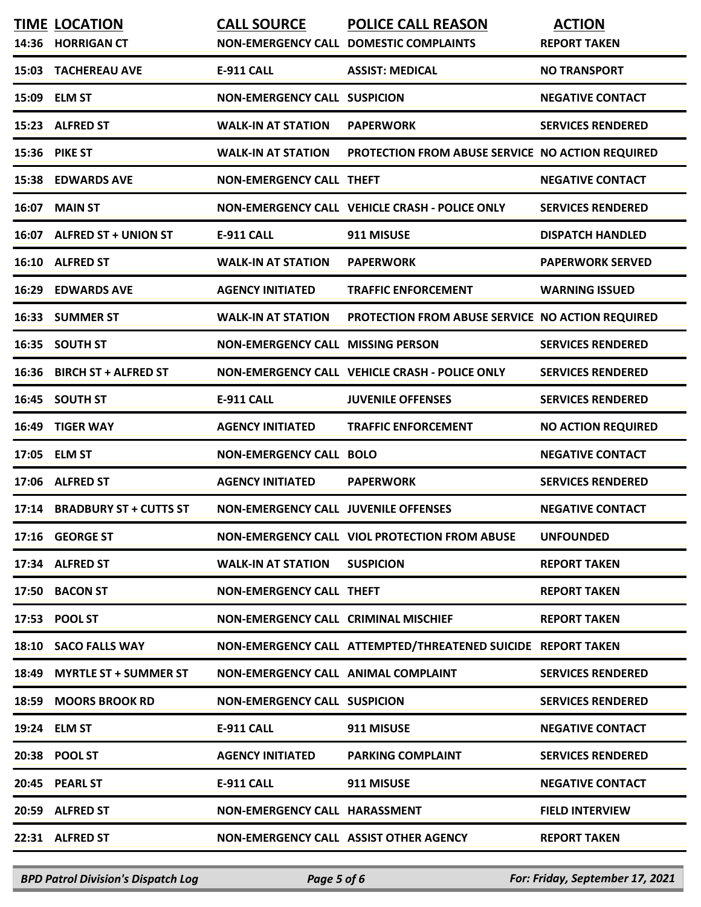|       | <b>TIME LOCATION</b><br>14:36 HORRIGAN CT | <b>CALL SOURCE</b>                          | POLICE CALL REASON<br>NON-EMERGENCY CALL DOMESTIC COMPLAINTS | <b>ACTION</b><br><b>REPORT TAKEN</b> |
|-------|-------------------------------------------|---------------------------------------------|--------------------------------------------------------------|--------------------------------------|
| 15:03 | <b>TACHEREAU AVE</b>                      | <b>E-911 CALL</b>                           | <b>ASSIST: MEDICAL</b>                                       | <b>NO TRANSPORT</b>                  |
|       | 15:09 ELM ST                              | <b>NON-EMERGENCY CALL SUSPICION</b>         |                                                              | <b>NEGATIVE CONTACT</b>              |
| 15:23 | <b>ALFRED ST</b>                          | <b>WALK-IN AT STATION</b>                   | <b>PAPERWORK</b>                                             | <b>SERVICES RENDERED</b>             |
| 15:36 | <b>PIKE ST</b>                            | <b>WALK-IN AT STATION</b>                   | PROTECTION FROM ABUSE SERVICE NO ACTION REQUIRED             |                                      |
|       | <b>15:38 EDWARDS AVE</b>                  | <b>NON-EMERGENCY CALL THEFT</b>             |                                                              | <b>NEGATIVE CONTACT</b>              |
| 16:07 | <b>MAIN ST</b>                            |                                             | NON-EMERGENCY CALL VEHICLE CRASH - POLICE ONLY               | <b>SERVICES RENDERED</b>             |
|       | 16:07 ALFRED ST + UNION ST                | <b>E-911 CALL</b>                           | 911 MISUSE                                                   | <b>DISPATCH HANDLED</b>              |
|       | 16:10 ALFRED ST                           | <b>WALK-IN AT STATION</b>                   | <b>PAPERWORK</b>                                             | <b>PAPERWORK SERVED</b>              |
| 16:29 | <b>EDWARDS AVE</b>                        | <b>AGENCY INITIATED</b>                     | <b>TRAFFIC ENFORCEMENT</b>                                   | <b>WARNING ISSUED</b>                |
| 16:33 | <b>SUMMER ST</b>                          | <b>WALK-IN AT STATION</b>                   | PROTECTION FROM ABUSE SERVICE NO ACTION REQUIRED             |                                      |
| 16:35 | <b>SOUTH ST</b>                           | <b>NON-EMERGENCY CALL MISSING PERSON</b>    |                                                              | <b>SERVICES RENDERED</b>             |
| 16:36 | <b>BIRCH ST + ALFRED ST</b>               |                                             | NON-EMERGENCY CALL VEHICLE CRASH - POLICE ONLY               | <b>SERVICES RENDERED</b>             |
|       | 16:45 SOUTH ST                            | <b>E-911 CALL</b>                           | <b>JUVENILE OFFENSES</b>                                     | <b>SERVICES RENDERED</b>             |
| 16:49 | <b>TIGER WAY</b>                          | <b>AGENCY INITIATED</b>                     | <b>TRAFFIC ENFORCEMENT</b>                                   | <b>NO ACTION REQUIRED</b>            |
| 17:05 | <b>ELM ST</b>                             | <b>NON-EMERGENCY CALL BOLO</b>              |                                                              | <b>NEGATIVE CONTACT</b>              |
| 17:06 | <b>ALFRED ST</b>                          | <b>AGENCY INITIATED</b>                     | <b>PAPERWORK</b>                                             | <b>SERVICES RENDERED</b>             |
|       | 17:14 BRADBURY ST + CUTTS ST              | <b>NON-EMERGENCY CALL JUVENILE OFFENSES</b> |                                                              | <b>NEGATIVE CONTACT</b>              |
|       | 17:16 GEORGE ST                           |                                             | NON-EMERGENCY CALL VIOL PROTECTION FROM ABUSE                | <b>UNFOUNDED</b>                     |
|       | 17:34 ALFRED ST                           | <b>WALK-IN AT STATION</b>                   | <b>SUSPICION</b>                                             | <b>REPORT TAKEN</b>                  |
|       | 17:50 BACON ST                            | <b>NON-EMERGENCY CALL THEFT</b>             |                                                              | <b>REPORT TAKEN</b>                  |
|       | 17:53 POOL ST                             | <b>NON-EMERGENCY CALL CRIMINAL MISCHIEF</b> |                                                              | <b>REPORT TAKEN</b>                  |
|       | 18:10 SACO FALLS WAY                      |                                             | NON-EMERGENCY CALL ATTEMPTED/THREATENED SUICIDE REPORT TAKEN |                                      |
|       | 18:49 MYRTLE ST + SUMMER ST               | NON-EMERGENCY CALL ANIMAL COMPLAINT         |                                                              | <b>SERVICES RENDERED</b>             |
|       | 18:59 MOORS BROOK RD                      | <b>NON-EMERGENCY CALL SUSPICION</b>         |                                                              | <b>SERVICES RENDERED</b>             |
|       | 19:24 ELM ST                              | <b>E-911 CALL</b>                           | 911 MISUSE                                                   | <b>NEGATIVE CONTACT</b>              |
|       | 20:38 POOL ST                             | <b>AGENCY INITIATED</b>                     | <b>PARKING COMPLAINT</b>                                     | <b>SERVICES RENDERED</b>             |
|       | 20:45 PEARL ST                            | <b>E-911 CALL</b>                           | 911 MISUSE                                                   | <b>NEGATIVE CONTACT</b>              |
|       | 20:59 ALFRED ST                           | NON-EMERGENCY CALL HARASSMENT               |                                                              | <b>FIELD INTERVIEW</b>               |
|       | 22:31 ALFRED ST                           | NON-EMERGENCY CALL ASSIST OTHER AGENCY      |                                                              | <b>REPORT TAKEN</b>                  |

*BPD Patrol Division's Dispatch Log Page 5 of 6 For: Friday, September 17, 2021*